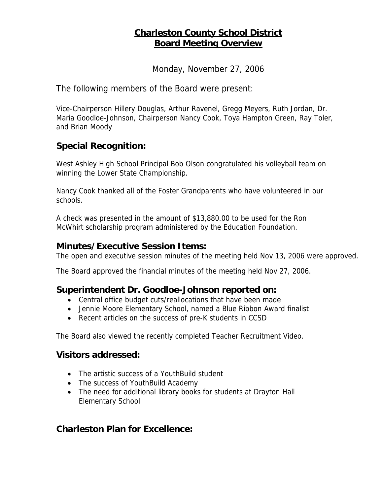# **Charleston County School District Board Meeting Overview**

Monday, November 27, 2006

The following members of the Board were present:

Vice-Chairperson Hillery Douglas, Arthur Ravenel, Gregg Meyers, Ruth Jordan, Dr. Maria Goodloe-Johnson, Chairperson Nancy Cook, Toya Hampton Green, Ray Toler, and Brian Moody

## **Special Recognition:**

West Ashley High School Principal Bob Olson congratulated his volleyball team on winning the Lower State Championship.

Nancy Cook thanked all of the Foster Grandparents who have volunteered in our schools.

A check was presented in the amount of \$13,880.00 to be used for the Ron McWhirt scholarship program administered by the Education Foundation.

#### **Minutes/Executive Session Items:**

The open and executive session minutes of the meeting held Nov 13, 2006 were approved.

The Board approved the financial minutes of the meeting held Nov 27, 2006.

#### **Superintendent Dr. Goodloe-Johnson reported on:**

- Central office budget cuts/reallocations that have been made
- Jennie Moore Elementary School, named a Blue Ribbon Award finalist
- Recent articles on the success of pre-K students in CCSD

The Board also viewed the recently completed Teacher Recruitment Video.

#### **Visitors addressed:**

- The artistic success of a YouthBuild student
- The success of YouthBuild Academy
- The need for additional library books for students at Drayton Hall Elementary School

## **Charleston Plan for Excellence:**